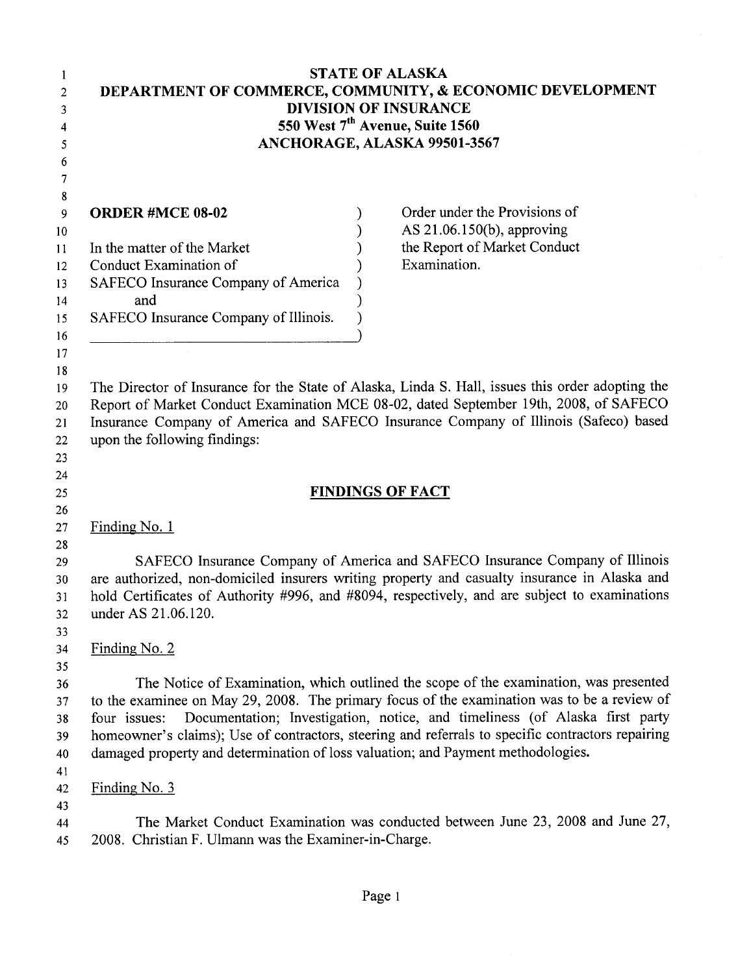| 1<br>2<br>3<br>4<br>5<br>6                                          | <b>STATE OF ALASKA</b><br>DEPARTMENT OF COMMERCE, COMMUNITY, & ECONOMIC DEVELOPMENT<br><b>DIVISION OF INSURANCE</b><br>550 West 7 <sup>th</sup> Avenue, Suite 1560<br>ANCHORAGE, ALASKA 99501-3567                                                                                                                                                                                                                                                                                            |
|---------------------------------------------------------------------|-----------------------------------------------------------------------------------------------------------------------------------------------------------------------------------------------------------------------------------------------------------------------------------------------------------------------------------------------------------------------------------------------------------------------------------------------------------------------------------------------|
| 7<br>${\bf 8}$<br>9<br>10<br>11<br>12<br>13<br>14<br>15<br>16<br>17 | Order under the Provisions of<br><b>ORDER #MCE 08-02</b><br>AS $21.06.150(b)$ , approving<br>the Report of Market Conduct<br>In the matter of the Market<br>Examination.<br>Conduct Examination of<br>SAFECO Insurance Company of America<br>and<br>SAFECO Insurance Company of Illinois.                                                                                                                                                                                                     |
| 18<br>19<br>20<br>21<br>22<br>23<br>24                              | The Director of Insurance for the State of Alaska, Linda S. Hall, issues this order adopting the<br>Report of Market Conduct Examination MCE 08-02, dated September 19th, 2008, of SAFECO<br>Insurance Company of America and SAFECO Insurance Company of Illinois (Safeco) based<br>upon the following findings:                                                                                                                                                                             |
| 25                                                                  | <b>FINDINGS OF FACT</b>                                                                                                                                                                                                                                                                                                                                                                                                                                                                       |
| 26<br>27                                                            | Finding No. 1                                                                                                                                                                                                                                                                                                                                                                                                                                                                                 |
| 28<br>29<br>30<br>31<br>32<br>33                                    | SAFECO Insurance Company of America and SAFECO Insurance Company of Illinois<br>are authorized, non-domiciled insurers writing property and casualty insurance in Alaska and<br>hold Certificates of Authority #996, and #8094, respectively, and are subject to examinations<br>under AS 21.06.120.                                                                                                                                                                                          |
| 34<br>35<br>36<br>37<br>38<br>39<br>40                              | Finding No. 2<br>The Notice of Examination, which outlined the scope of the examination, was presented<br>to the examinee on May 29, 2008. The primary focus of the examination was to be a review of<br>Documentation; Investigation, notice, and timeliness (of Alaska first party<br>four issues:<br>homeowner's claims); Use of contractors, steering and referrals to specific contractors repairing<br>damaged property and determination of loss valuation; and Payment methodologies. |
| 41<br>42<br>43<br>44<br>45                                          | Finding No. 3<br>The Market Conduct Examination was conducted between June 23, 2008 and June 27,<br>2008. Christian F. Ulmann was the Examiner-in-Charge.                                                                                                                                                                                                                                                                                                                                     |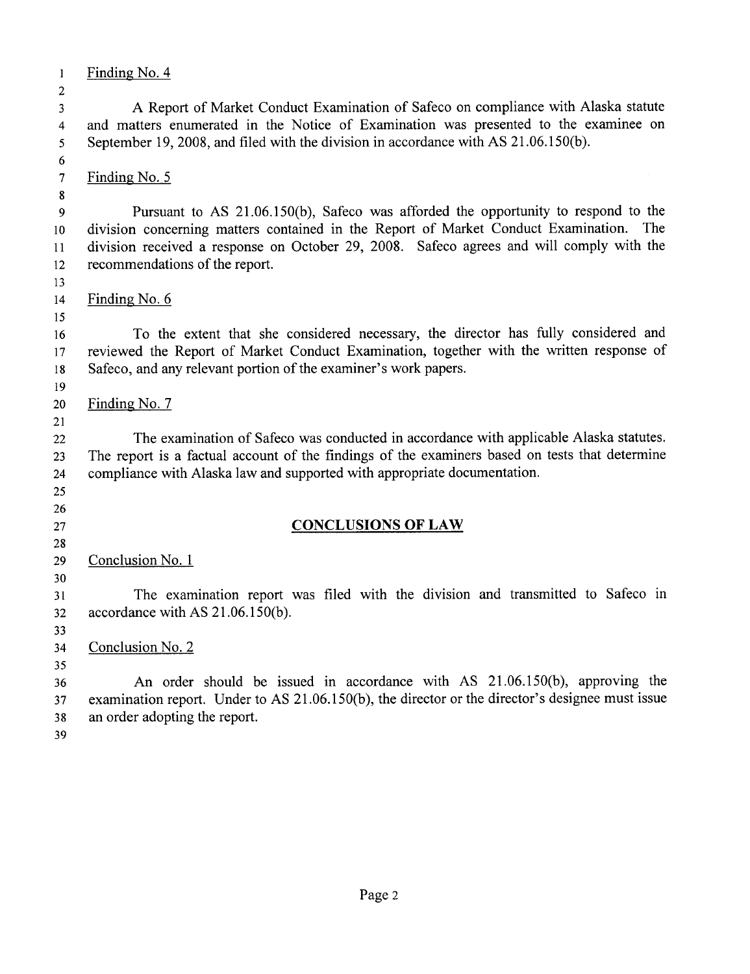$\mathbf{1}$ Finding No. 4  $\overline{2}$ A Report of Market Conduct Examination of Safeco on compliance with Alaska statute  $\overline{3}$ and matters enumerated in the Notice of Examination was presented to the examinee on  $\overline{4}$ September 19, 2008, and filed with the division in accordance with AS 21.06.150(b).  $\overline{5}$  $6\overline{6}$  $\overline{7}$ Finding No. 5  $\bf{8}$ Pursuant to AS 21.06.150(b), Safeco was afforded the opportunity to respond to the 9 division concerning matters contained in the Report of Market Conduct Examination. The  $10<sup>°</sup>$ division received a response on October 29, 2008. Safeco agrees and will comply with the  $11$  $12$ recommendations of the report. 13  $14$ Finding No. 6 15 To the extent that she considered necessary, the director has fully considered and 16 reviewed the Report of Market Conduct Examination, together with the written response of 17 Safeco, and any relevant portion of the examiner's work papers. 18 19 Finding No. 7 20 21 The examination of Safeco was conducted in accordance with applicable Alaska statutes. 22 The report is a factual account of the findings of the examiners based on tests that determine 23 compliance with Alaska law and supported with appropriate documentation. 24 25 26 **CONCLUSIONS OF LAW** 27 28 Conclusion No. 1 29  $30<sup>°</sup>$ The examination report was filed with the division and transmitted to Safeco in  $31$ accordance with AS 21.06.150(b).  $32$  $33<sup>°</sup>$ 34 Conclusion No. 2 35 An order should be issued in accordance with AS 21.06.150(b), approving the 36 examination report. Under to AS 21.06.150(b), the director or the director's designee must issue 37 an order adopting the report. 38 39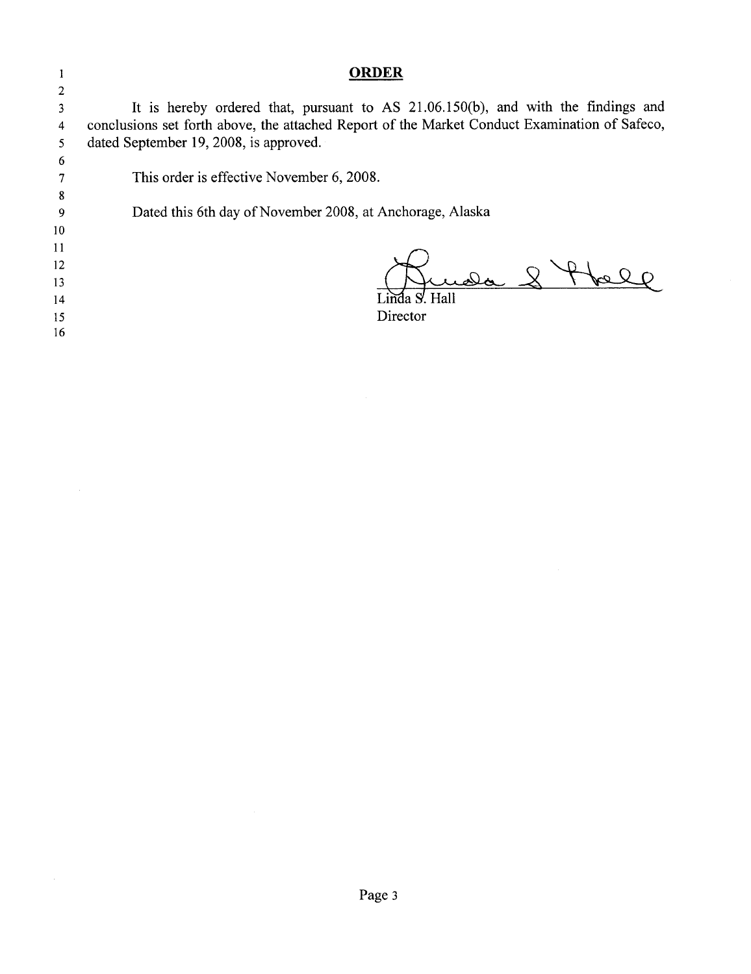#### **ORDER**

 $\overline{2}$ It is hereby ordered that, pursuant to AS 21.06.150(b), and with the findings and  $\overline{\mathbf{3}}$ conclusions set forth above, the attached Report of the Market Conduct Examination of Safeco,  $\overline{4}$ dated September 19, 2008, is approved.  $\overline{\mathbf{5}}$ 

 $\boldsymbol{6}$  $\overline{7}$  $\boldsymbol{8}$ 

 $\mathbf{1}$ 

This order is effective November 6, 2008.

Dated this 6th day of November 2008, at Anchorage, Alaska

10  $11$ 

 $\overline{9}$ 

- $12$
- 13
- $14$
- 15 16

da 8 thele

ía S'. Hall Director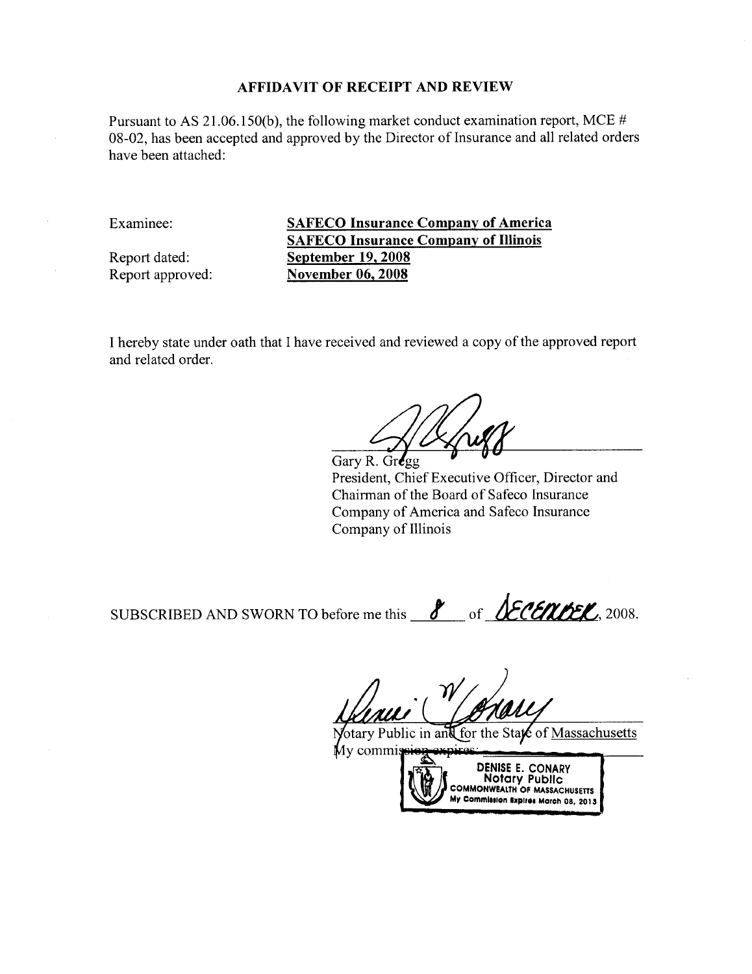Pursuant to AS 21.06.150(b), the following market conduct examination report, MCE # 08-02, has been accepted and approved by the Director of Insurance and all related orders have been attached:

Examinee:

Report dated: Report approved: **SAFECO Insurance Company of America SAFECO Insurance Company of Illinois** September  $19,2008$ **November 06, 2008** 

I hereby state under oath that I have received and reviewed a copy of the approved report and related order.

Gary R. Gregg

President, Chief Executive Officer, Director and Chairman of the Board of Safeco Insurance Company of America and Safeco Insurance Company of Illinois

SUBSCRIBED AND SWORN TO before me this <u>8</u> of **LECENDEL**, 2008.

otary Public in and for the State of Massachusetts Mv comm:

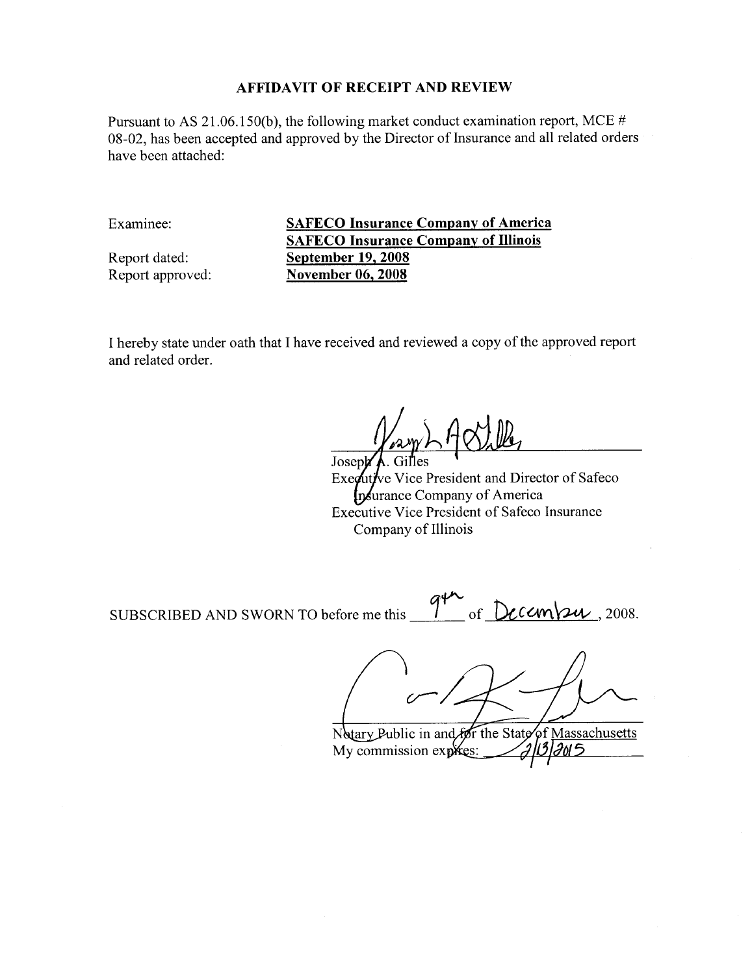Pursuant to AS 21.06.150(b), the following market conduct examination report, MCE # 08-02, has been accepted and approved by the Director of Insurance and all related orders have been attached:

Examinee:

Report dated: Report approved: **SAFECO Insurance Company of America SAFECO Insurance Company of Illinois September 19, 2008 November 06, 2008** 

I hereby state under oath that I have received and reviewed a copy of the approved report and related order.

Joseph Executive Vice President and Director of Safeco Insurance Company of America Executive Vice President of Safeco Insurance Company of Illinois

9th of Decem SUBSCRIBED AND SWORN TO before me this  $24$ , 2008.

Notary Public in and for the State of Massachusetts ี 115 My commission exploses: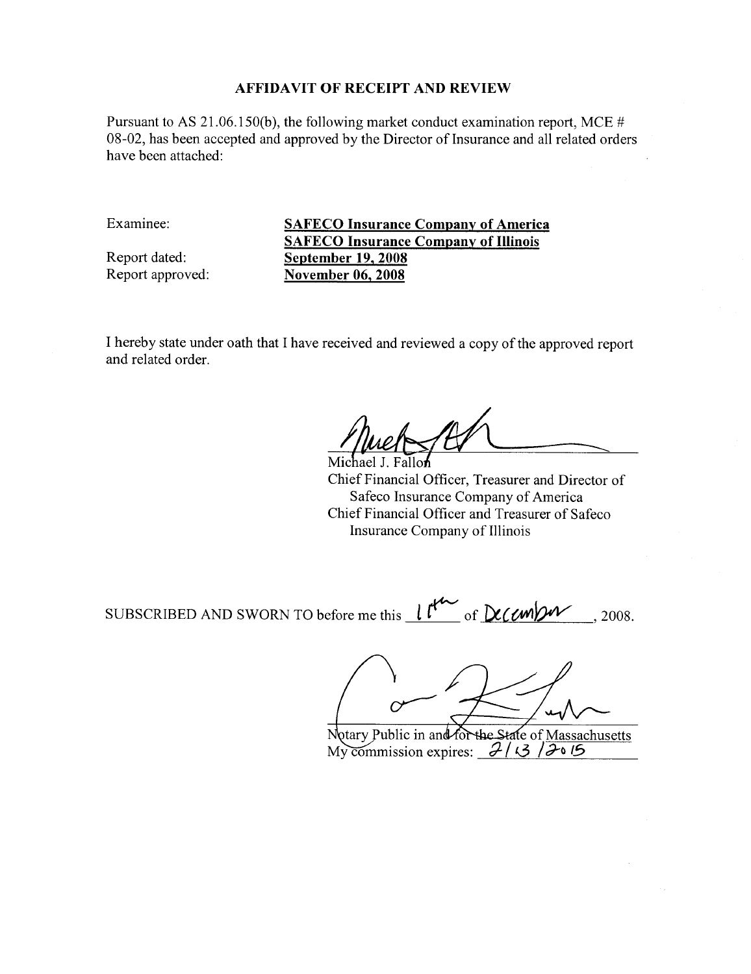Pursuant to AS 21.06.150(b), the following market conduct examination report, MCE # 08-02, has been accepted and approved by the Director of Insurance and all related orders have been attached:

Examinee:

Report dated: Report approved: **SAFECO Insurance Company of America SAFECO Insurance Company of Illinois September 19, 2008 November 06, 2008** 

I hereby state under oath that I have received and reviewed a copy of the approved report and related order.

Michael J. Fallon Chief Financial Officer, Treasurer and Director of Safeco Insurance Company of America Chief Financial Officer and Treasurer of Safeco Insurance Company of Illinois

SUBSCRIBED AND SWORN TO before me this  $l^{f^{\prime\prime\prime}}$  of  $D_{\prime\prime}$  (*MDM* 2008.

Notary Public in and for the State of Massachusetts My commission expires:  $\frac{2}{3}$  3  $\frac{2000}{3}$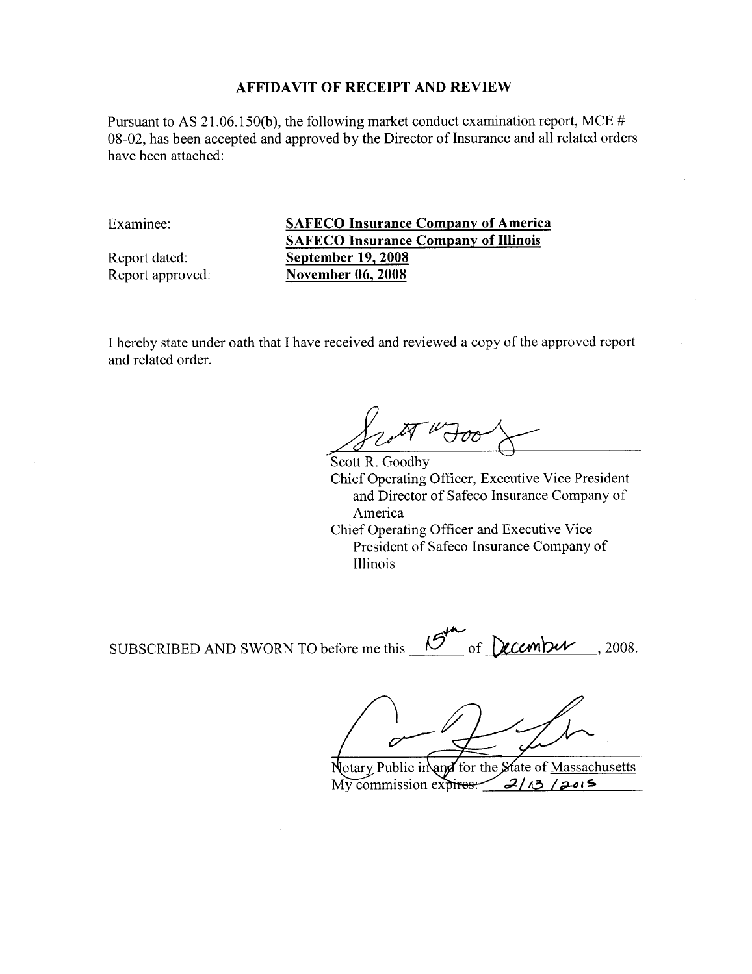Pursuant to AS 21.06.150(b), the following market conduct examination report, MCE # 08-02, has been accepted and approved by the Director of Insurance and all related orders have been attached:

Examinee:

Report dated: Report approved: **SAFECO Insurance Company of America SAFECO Insurance Company of Illinois September 19, 2008 November 06, 2008** 

I hereby state under oath that I have received and reviewed a copy of the approved report and related order.

 $\sigma$ 

Scott R. Goodby Chief Operating Officer, Executive Vice President and Director of Safeco Insurance Company of America Chief Operating Officer and Executive Vice President of Safeco Insurance Company of Illinois

SUBSCRIBED AND SWORN TO before me this  $\mathcal{B}^n$ of December, 2008.

[otary Public in and for the State of Massachusetts My commission expires:  $2/13/2015$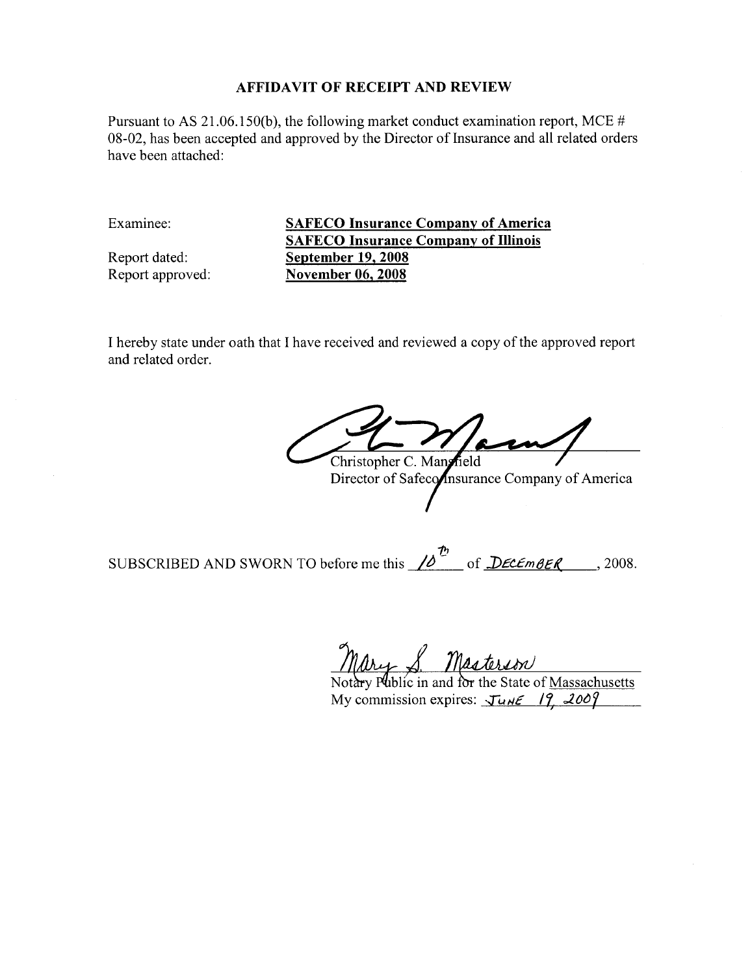Pursuant to AS 21.06.150(b), the following market conduct examination report, MCE # 08-02, has been accepted and approved by the Director of Insurance and all related orders have been attached:

Examinee:

Report dated: Report approved: **SAFECO Insurance Company of America SAFECO Insurance Company of Illinois September 19, 2008 November 06, 2008** 

I hereby state under oath that I have received and reviewed a copy of the approved report and related order.

Christopher C. Mangrield

Director of Safeconsurance Company of America

SUBSCRIBED AND SWORN TO before me this  $\sqrt{\delta}^{\frac{t_0}{2}}$  of  $\sqrt{\frac{D\epsilon c \epsilon_{mBE}}{2}}$ , 2008.

Mary S. Masterson

My commission expires:  $\sqrt{u} \le \sqrt{12.2009}$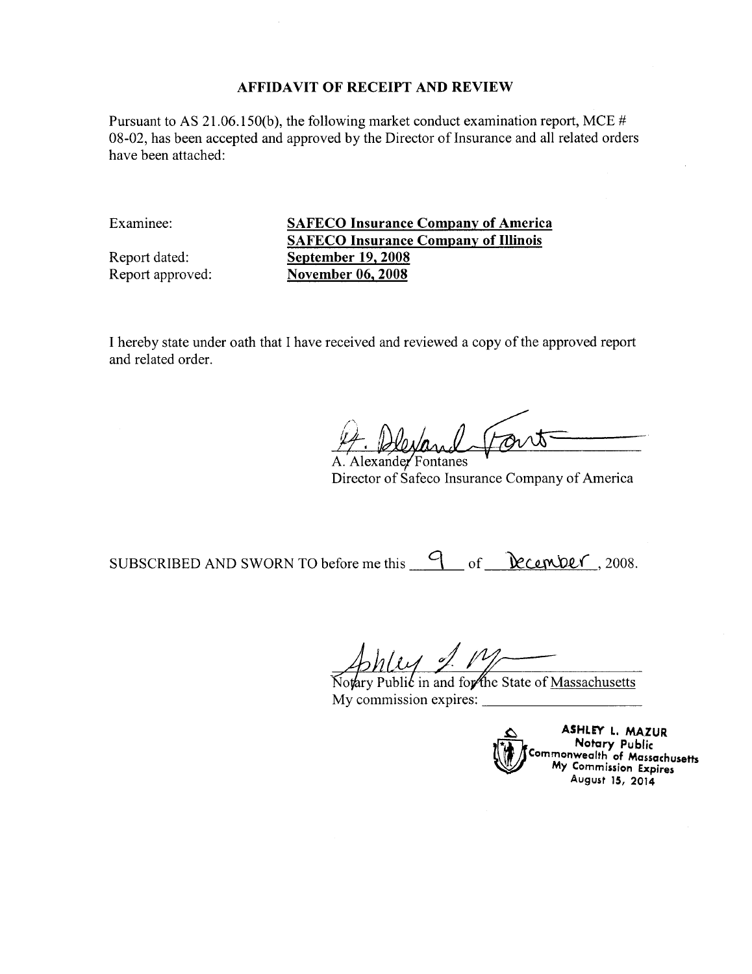Pursuant to AS 21.06.150(b), the following market conduct examination report, MCE # 08-02, has been accepted and approved by the Director of Insurance and all related orders have been attached:

Examinee:

Report dated: Report approved:

**SAFECO Insurance Company of America SAFECO Insurance Company of Illinois September 19, 2008 November 06, 2008** 

I hereby state under oath that I have received and reviewed a copy of the approved report and related order.

A. Alexander Fontanes Director of Safeco Insurance Company of America

SUBSCRIBED AND SWORN TO before me this 9 of <u>December</u>, 2008.

 $\ell \mathcal{A}$  and

Notary Public in and for the State of Massachusetts My commission expires:

ASHLEY L. MAZUR Notary Public Commonwealth of Massachusetts<br>My Commission Expires August 15, 2014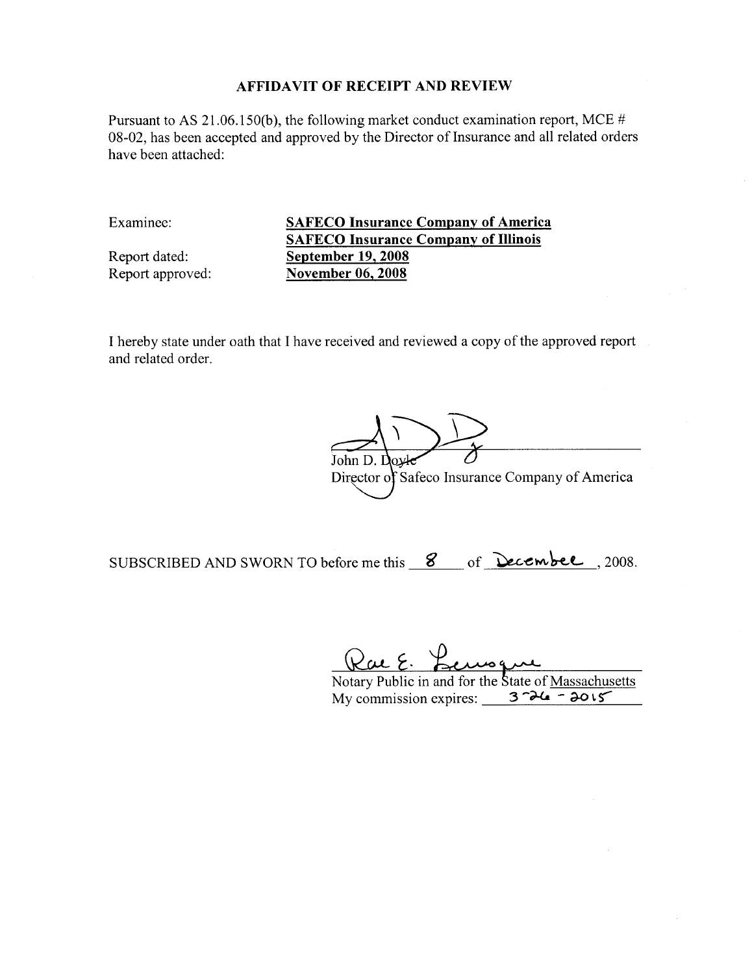Pursuant to AS 21.06.150(b), the following market conduct examination report, MCE # 08-02, has been accepted and approved by the Director of Insurance and all related orders have been attached:

Examinee:

Report dated: Report approved: **SAFECO Insurance Company of America SAFECO Insurance Company of Illinois September 19, 2008 November 06, 2008** 

I hereby state under oath that I have received and reviewed a copy of the approved report and related order.

loxk John D. I Director of Safeco Insurance Company of America

SUBSCRIBED AND SWORN TO before me this 8 of Decembel, 2008.

Rac E. Remoque

My commission expires:  $3 - \lambda 4 = - \lambda 0.15$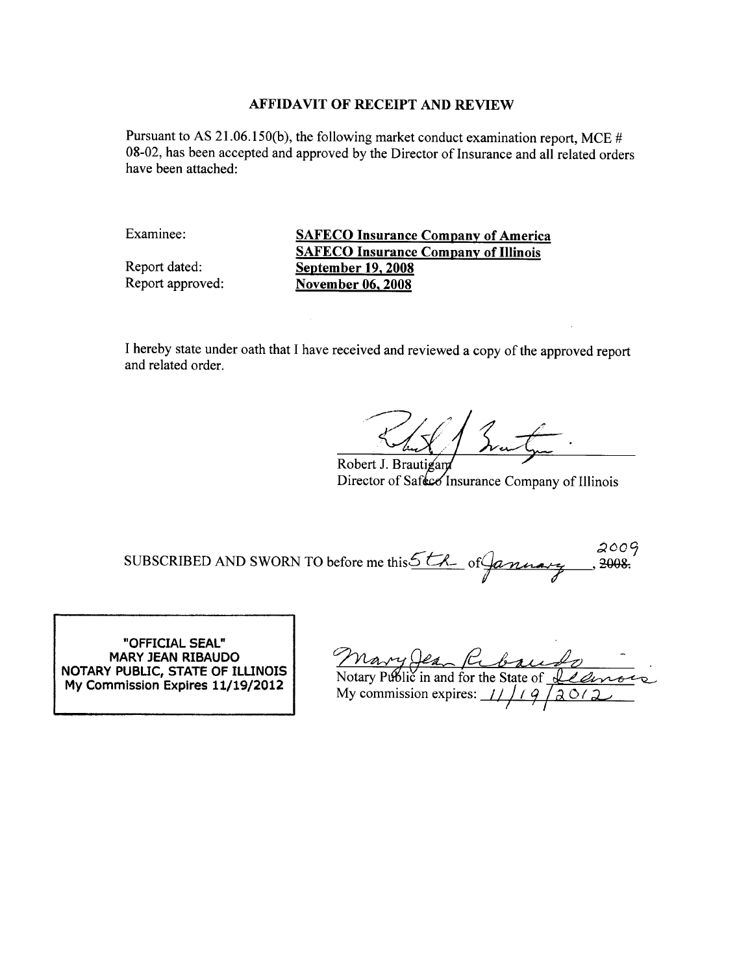Pursuant to AS 21.06.150(b), the following market conduct examination report, MCE  $#$ 08-02, has been accepted and approved by the Director of Insurance and all related orders have been attached:

Examinee:

Report dated: Report approved: **SAFECO Insurance Company of America SAFECO Insurance Company of Illinois** September 19, 2008 **November 06, 2008** 

I hereby state under oath that I have received and reviewed a copy of the approved report and related order.

Robert J. Brautigan Director of Safeco Insurance Company of Illinois

 $2009$ SUBSCRIBED AND SWORN TO before me this 5th of January 2008.

"OFFICIAL SEAL" **MARY JEAN RIBAUDO** NOTARY PUBLIC, STATE OF ILLINOIS My Commission Expires 11/19/2012

Mary Jean Robaudo<br>Notary Public in and for the State of <u>Illinoire</u>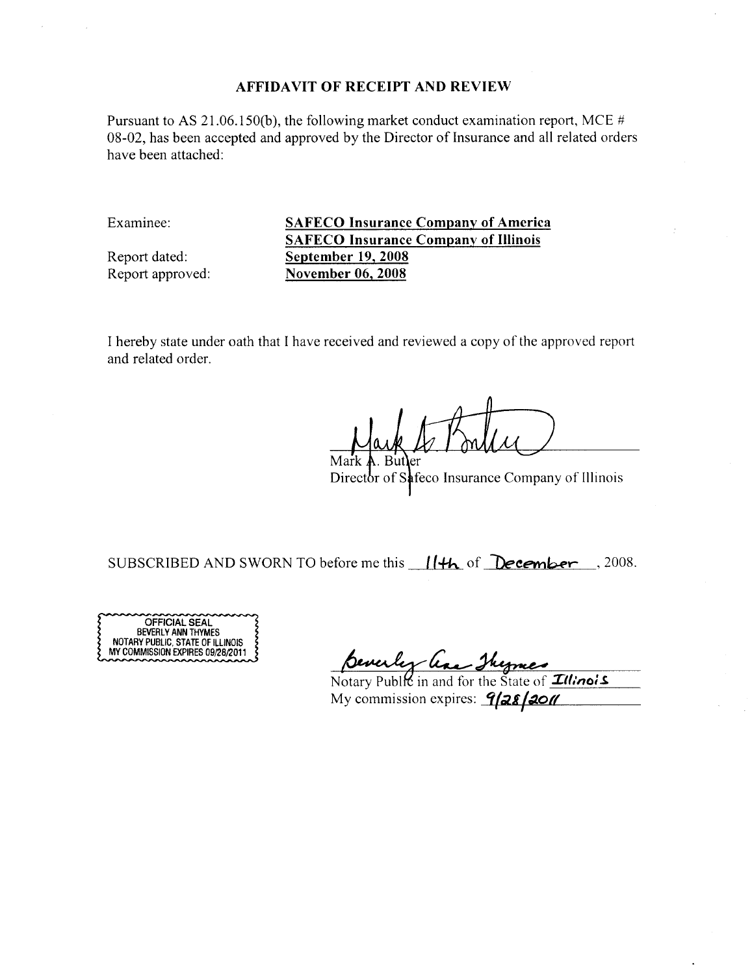Pursuant to AS 21.06.150(b), the following market conduct examination report, MCE # 08-02, has been accepted and approved by the Director of Insurance and all related orders have been attached:

Examinee:

Report dated: Report approved:

**SAFECO Insurance Company of America SAFECO Insurance Company of Illinois September 19, 2008 November 06, 2008** 

I hereby state under oath that I have received and reviewed a copy of the approved report and related order.

. Butler Mark

Director of Safeco Insurance Company of Illinois

SUBSCRIBED AND SWORN TO before me this 11th of December . 2008.



Benerley Car Theorer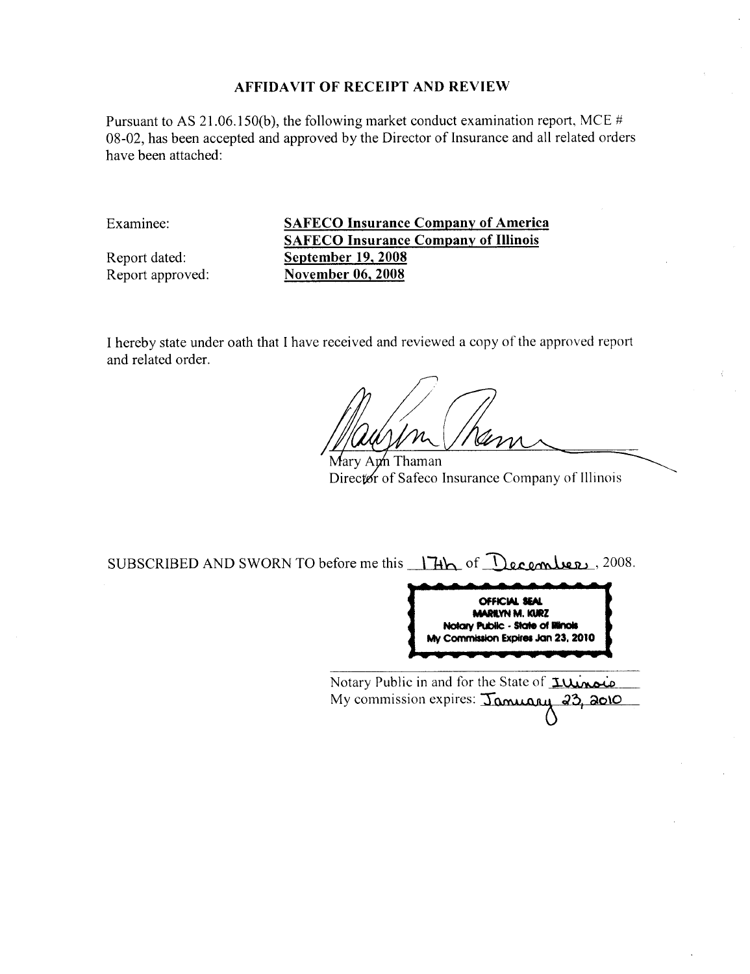Pursuant to AS 21.06.150(b), the following market conduct examination report, MCE  $#$ 08-02, has been accepted and approved by the Director of Insurance and all related orders have been attached:

Examinee:

Report dated: Report approved: **SAFECO Insurance Company of America SAFECO Insurance Company of Illinois September 19, 2008 November 06, 2008** 

I hereby state under oath that I have received and reviewed a copy of the approved report and related order.

Marv An⁄n Thaman Director of Safeco Insurance Company of Illinois

SUBSCRIBED AND SWORN TO before me this 17th of December, 2008.



Notary Public in and for the State of *Illinois* My commission expires: January 23, 2010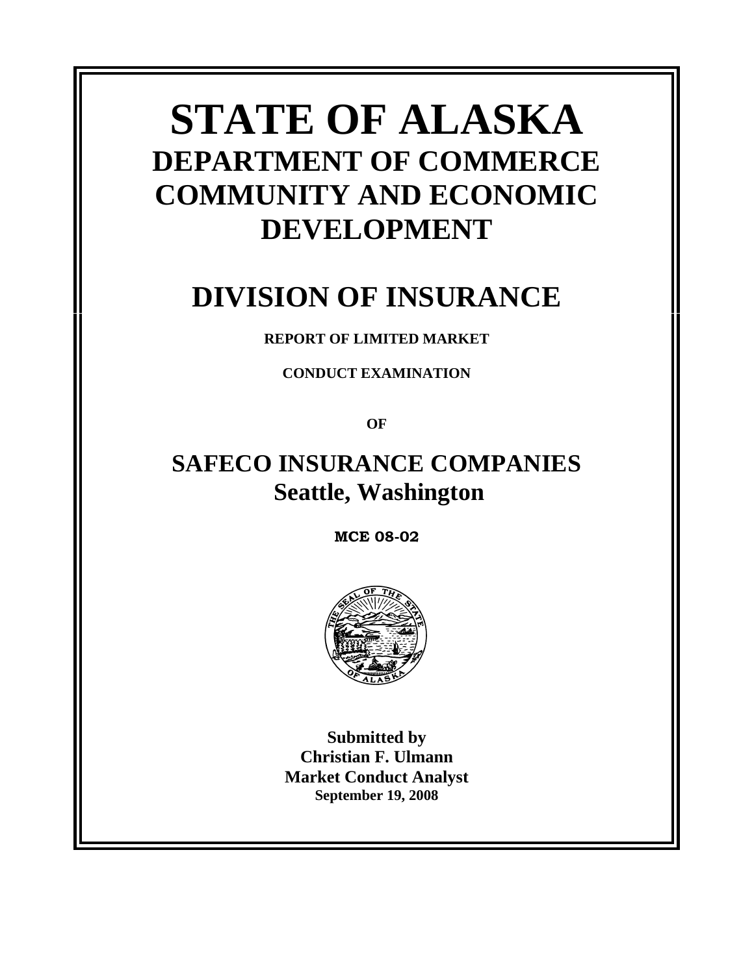# **STATE OF ALASKA DEPARTMENT OF COMMERCE COMMUNITY AND ECONOMIC DEVELOPMENT**

# **DIVISION OF INSURANCE**

# **REPORT OF LIMITED MARKET**

**CONDUCT EXAMINATION** 

**OF** 

# **SAFECO INSURANCE COMPANIES Seattle, Washington**

**MCE 08-02**



**Submitted by Christian F. Ulmann Market Conduct Analyst September 19, 2008**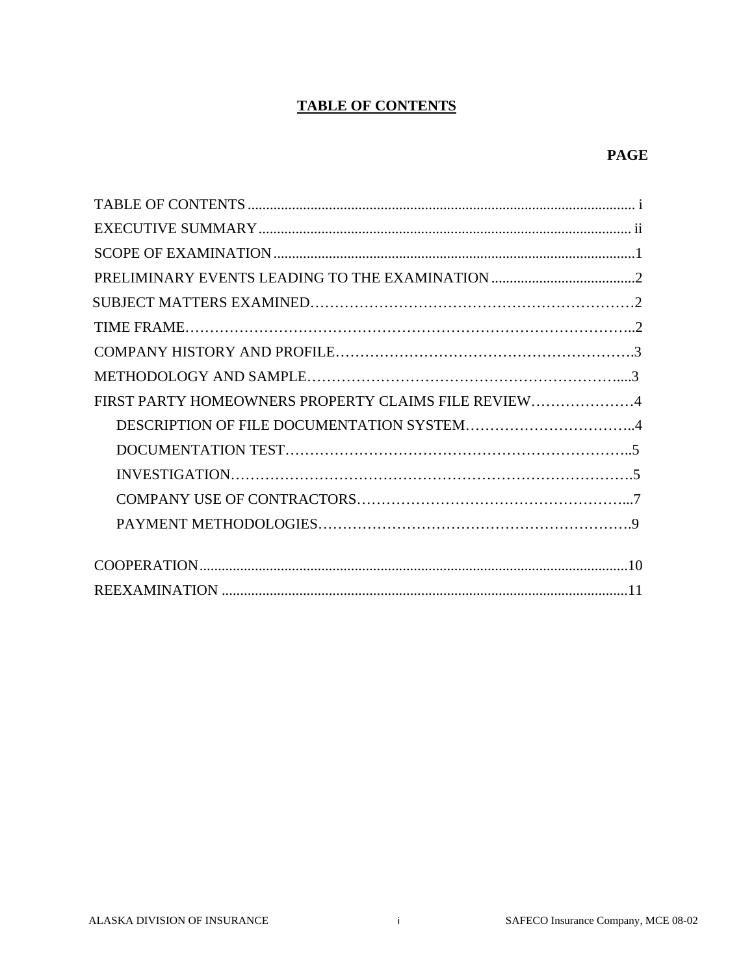# **TABLE OF CONTENTS**

### **PAGE**

| FIRST PARTY HOMEOWNERS PROPERTY CLAIMS FILE REVIEW4 |  |  |
|-----------------------------------------------------|--|--|
|                                                     |  |  |
|                                                     |  |  |
|                                                     |  |  |
|                                                     |  |  |
|                                                     |  |  |
|                                                     |  |  |
|                                                     |  |  |
|                                                     |  |  |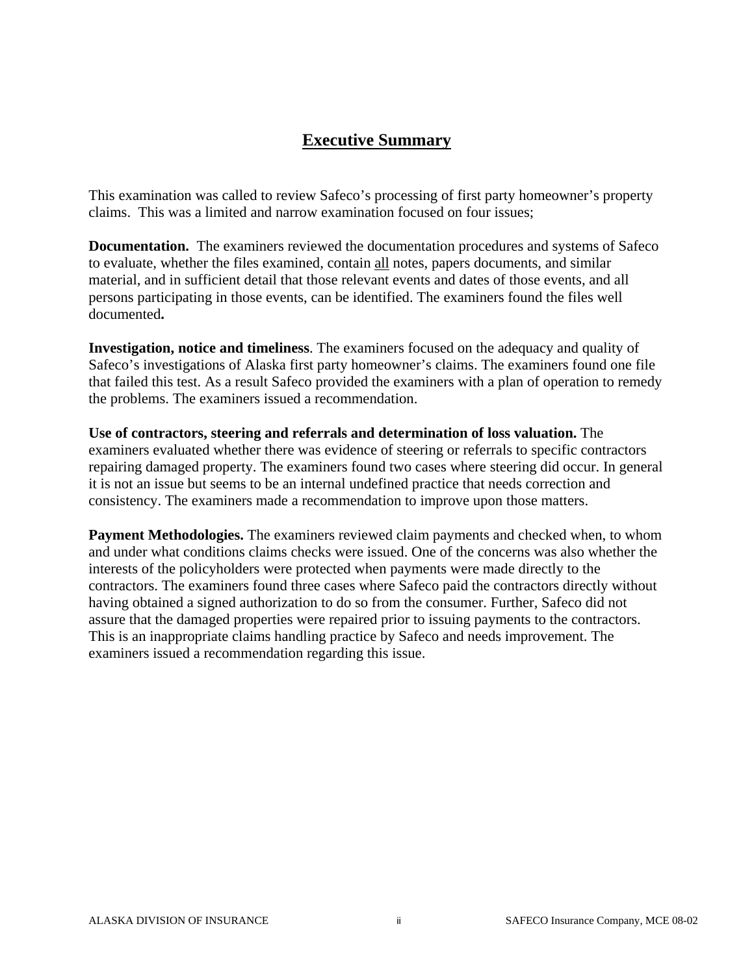# **Executive Summary**

This examination was called to review Safeco's processing of first party homeowner's property claims. This was a limited and narrow examination focused on four issues;

**Documentation.** The examiners reviewed the documentation procedures and systems of Safeco to evaluate, whether the files examined, contain all notes, papers documents, and similar material, and in sufficient detail that those relevant events and dates of those events, and all persons participating in those events, can be identified. The examiners found the files well documented**.** 

**Investigation, notice and timeliness**. The examiners focused on the adequacy and quality of Safeco's investigations of Alaska first party homeowner's claims. The examiners found one file that failed this test. As a result Safeco provided the examiners with a plan of operation to remedy the problems. The examiners issued a recommendation.

**Use of contractors, steering and referrals and determination of loss valuation.** The examiners evaluated whether there was evidence of steering or referrals to specific contractors repairing damaged property. The examiners found two cases where steering did occur. In general it is not an issue but seems to be an internal undefined practice that needs correction and consistency. The examiners made a recommendation to improve upon those matters.

**Payment Methodologies.** The examiners reviewed claim payments and checked when, to whom and under what conditions claims checks were issued. One of the concerns was also whether the interests of the policyholders were protected when payments were made directly to the contractors. The examiners found three cases where Safeco paid the contractors directly without having obtained a signed authorization to do so from the consumer. Further, Safeco did not assure that the damaged properties were repaired prior to issuing payments to the contractors. This is an inappropriate claims handling practice by Safeco and needs improvement. The examiners issued a recommendation regarding this issue.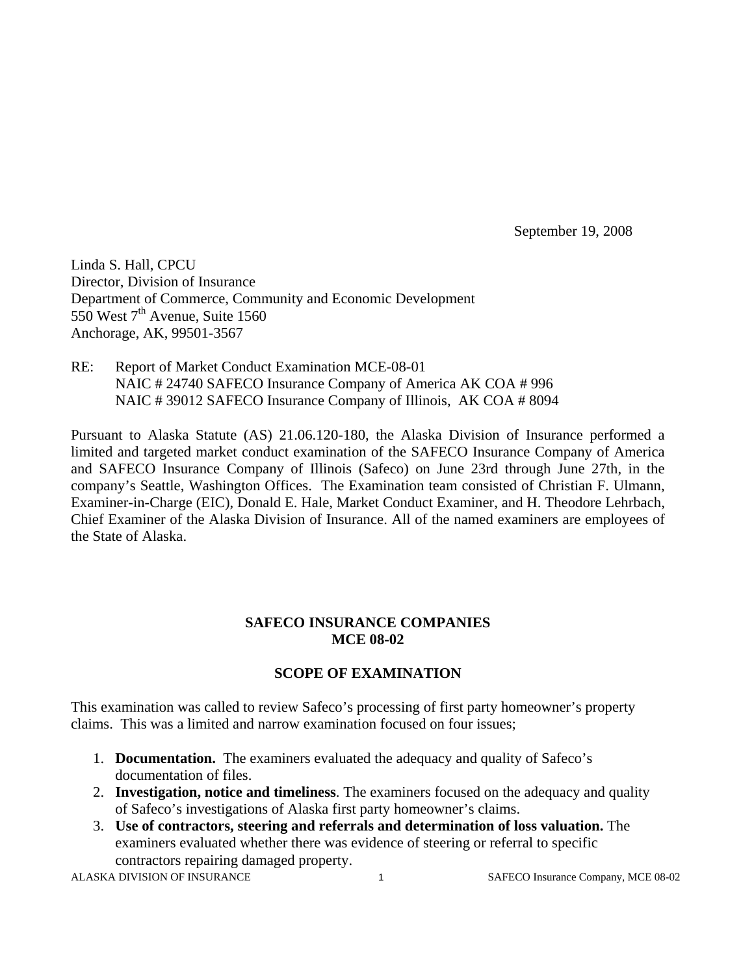September 19, 2008

Linda S. Hall, CPCU Director, Division of Insurance Department of Commerce, Community and Economic Development 550 West  $7<sup>th</sup>$  Avenue, Suite 1560 Anchorage, AK, 99501-3567

RE: Report of Market Conduct Examination MCE-08-01 NAIC # 24740 SAFECO Insurance Company of America AK COA # 996 NAIC # 39012 SAFECO Insurance Company of Illinois, AK COA # 8094

Pursuant to Alaska Statute (AS) 21.06.120-180, the Alaska Division of Insurance performed a limited and targeted market conduct examination of the SAFECO Insurance Company of America and SAFECO Insurance Company of Illinois (Safeco) on June 23rd through June 27th, in the company's Seattle, Washington Offices. The Examination team consisted of Christian F. Ulmann, Examiner-in-Charge (EIC), Donald E. Hale, Market Conduct Examiner, and H. Theodore Lehrbach, Chief Examiner of the Alaska Division of Insurance. All of the named examiners are employees of the State of Alaska.

#### **SAFECO INSURANCE COMPANIES MCE 08-02**

#### **SCOPE OF EXAMINATION**

This examination was called to review Safeco's processing of first party homeowner's property claims. This was a limited and narrow examination focused on four issues;

- 1. **Documentation.** The examiners evaluated the adequacy and quality of Safeco's documentation of files.
- 2. **Investigation, notice and timeliness**. The examiners focused on the adequacy and quality of Safeco's investigations of Alaska first party homeowner's claims.
- 3. **Use of contractors, steering and referrals and determination of loss valuation.** The examiners evaluated whether there was evidence of steering or referral to specific contractors repairing damaged property.

ALASKA DIVISION OF INSURANCE 1 1 SAFECO Insurance Company, MCE 08-02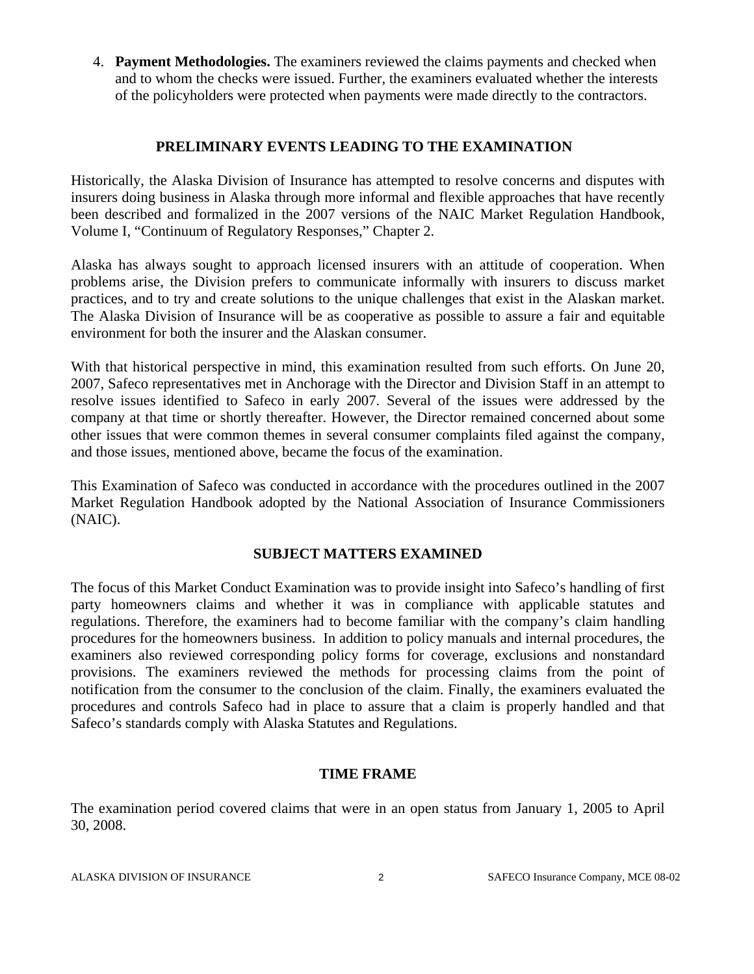4. **Payment Methodologies.** The examiners reviewed the claims payments and checked when and to whom the checks were issued. Further, the examiners evaluated whether the interests of the policyholders were protected when payments were made directly to the contractors.

#### **PRELIMINARY EVENTS LEADING TO THE EXAMINATION**

Historically, the Alaska Division of Insurance has attempted to resolve concerns and disputes with insurers doing business in Alaska through more informal and flexible approaches that have recently been described and formalized in the 2007 versions of the NAIC Market Regulation Handbook, Volume I, "Continuum of Regulatory Responses," Chapter 2.

Alaska has always sought to approach licensed insurers with an attitude of cooperation. When problems arise, the Division prefers to communicate informally with insurers to discuss market practices, and to try and create solutions to the unique challenges that exist in the Alaskan market. The Alaska Division of Insurance will be as cooperative as possible to assure a fair and equitable environment for both the insurer and the Alaskan consumer.

With that historical perspective in mind, this examination resulted from such efforts. On June 20, 2007, Safeco representatives met in Anchorage with the Director and Division Staff in an attempt to resolve issues identified to Safeco in early 2007. Several of the issues were addressed by the company at that time or shortly thereafter. However, the Director remained concerned about some other issues that were common themes in several consumer complaints filed against the company, and those issues, mentioned above, became the focus of the examination.

This Examination of Safeco was conducted in accordance with the procedures outlined in the 2007 Market Regulation Handbook adopted by the National Association of Insurance Commissioners (NAIC).

#### **SUBJECT MATTERS EXAMINED**

The focus of this Market Conduct Examination was to provide insight into Safeco's handling of first party homeowners claims and whether it was in compliance with applicable statutes and regulations. Therefore, the examiners had to become familiar with the company's claim handling procedures for the homeowners business. In addition to policy manuals and internal procedures, the examiners also reviewed corresponding policy forms for coverage, exclusions and nonstandard provisions. The examiners reviewed the methods for processing claims from the point of notification from the consumer to the conclusion of the claim. Finally, the examiners evaluated the procedures and controls Safeco had in place to assure that a claim is properly handled and that Safeco's standards comply with Alaska Statutes and Regulations.

#### **TIME FRAME**

The examination period covered claims that were in an open status from January 1, 2005 to April 30, 2008.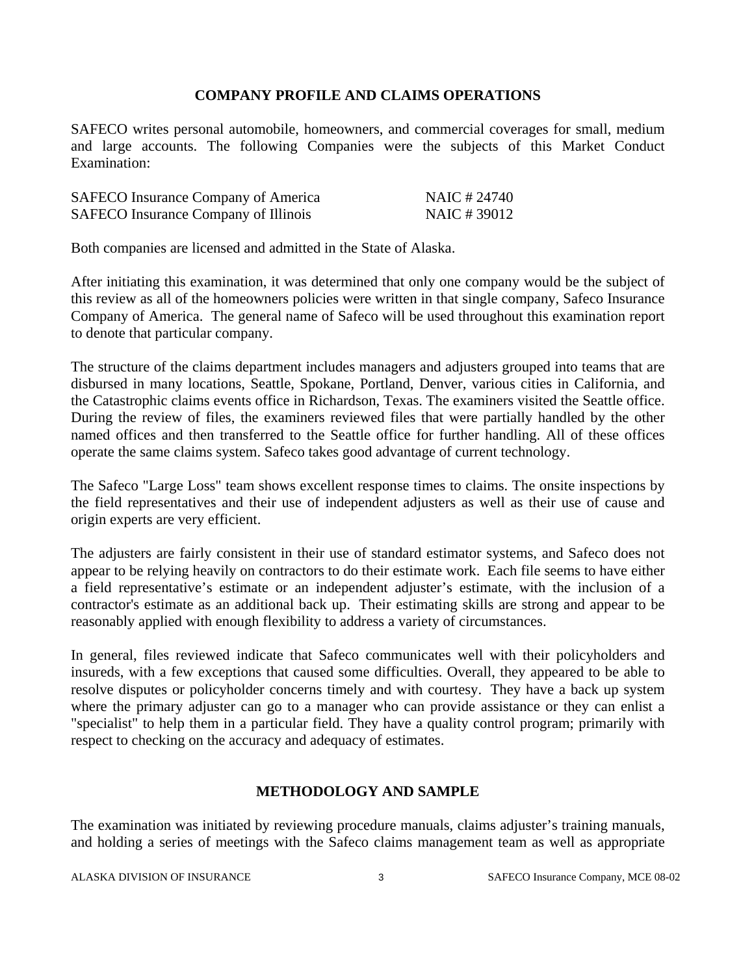#### **COMPANY PROFILE AND CLAIMS OPERATIONS**

SAFECO writes personal automobile, homeowners, and commercial coverages for small, medium and large accounts. The following Companies were the subjects of this Market Conduct Examination:

| SAFECO Insurance Company of America  | NAIC # 24740 |
|--------------------------------------|--------------|
| SAFECO Insurance Company of Illinois | NAIC #39012  |

Both companies are licensed and admitted in the State of Alaska.

After initiating this examination, it was determined that only one company would be the subject of this review as all of the homeowners policies were written in that single company, Safeco Insurance Company of America. The general name of Safeco will be used throughout this examination report to denote that particular company.

The structure of the claims department includes managers and adjusters grouped into teams that are disbursed in many locations, Seattle, Spokane, Portland, Denver, various cities in California, and the Catastrophic claims events office in Richardson, Texas. The examiners visited the Seattle office. During the review of files, the examiners reviewed files that were partially handled by the other named offices and then transferred to the Seattle office for further handling. All of these offices operate the same claims system. Safeco takes good advantage of current technology.

The Safeco "Large Loss" team shows excellent response times to claims. The onsite inspections by the field representatives and their use of independent adjusters as well as their use of cause and origin experts are very efficient.

The adjusters are fairly consistent in their use of standard estimator systems, and Safeco does not appear to be relying heavily on contractors to do their estimate work. Each file seems to have either a field representative's estimate or an independent adjuster's estimate, with the inclusion of a contractor's estimate as an additional back up. Their estimating skills are strong and appear to be reasonably applied with enough flexibility to address a variety of circumstances.

In general, files reviewed indicate that Safeco communicates well with their policyholders and insureds, with a few exceptions that caused some difficulties. Overall, they appeared to be able to resolve disputes or policyholder concerns timely and with courtesy. They have a back up system where the primary adjuster can go to a manager who can provide assistance or they can enlist a "specialist" to help them in a particular field. They have a quality control program; primarily with respect to checking on the accuracy and adequacy of estimates.

#### **METHODOLOGY AND SAMPLE**

The examination was initiated by reviewing procedure manuals, claims adjuster's training manuals, and holding a series of meetings with the Safeco claims management team as well as appropriate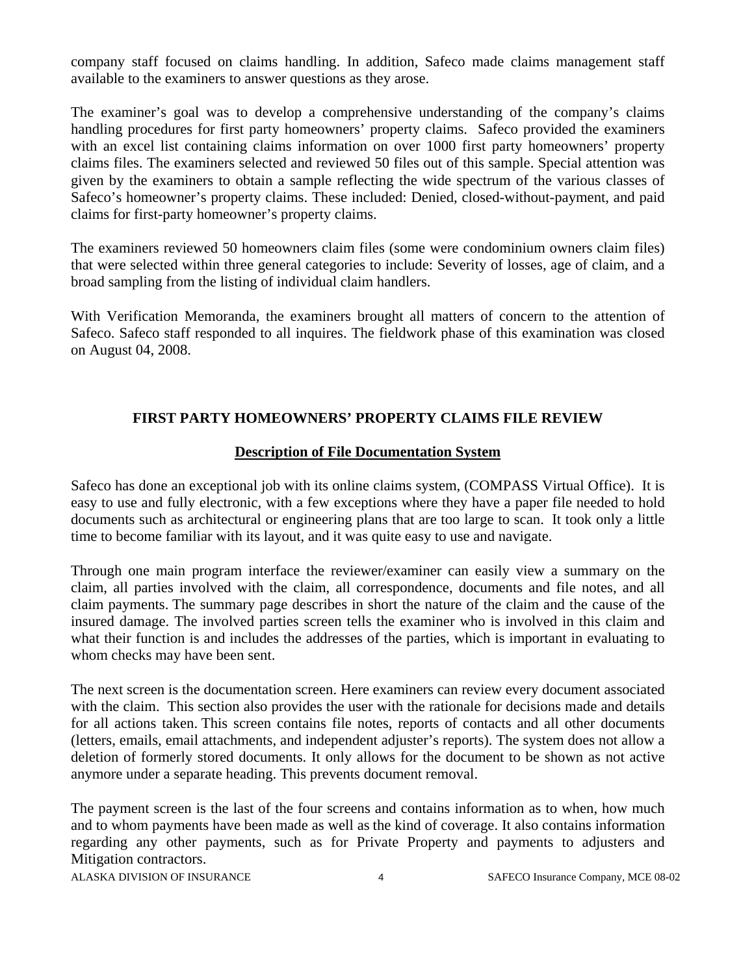company staff focused on claims handling. In addition, Safeco made claims management staff available to the examiners to answer questions as they arose.

The examiner's goal was to develop a comprehensive understanding of the company's claims handling procedures for first party homeowners' property claims. Safeco provided the examiners with an excel list containing claims information on over 1000 first party homeowners' property claims files. The examiners selected and reviewed 50 files out of this sample. Special attention was given by the examiners to obtain a sample reflecting the wide spectrum of the various classes of Safeco's homeowner's property claims. These included: Denied, closed-without-payment, and paid claims for first-party homeowner's property claims.

The examiners reviewed 50 homeowners claim files (some were condominium owners claim files) that were selected within three general categories to include: Severity of losses, age of claim, and a broad sampling from the listing of individual claim handlers.

With Verification Memoranda, the examiners brought all matters of concern to the attention of Safeco. Safeco staff responded to all inquires. The fieldwork phase of this examination was closed on August 04, 2008.

#### **FIRST PARTY HOMEOWNERS' PROPERTY CLAIMS FILE REVIEW**

#### **Description of File Documentation System**

Safeco has done an exceptional job with its online claims system, (COMPASS Virtual Office). It is easy to use and fully electronic, with a few exceptions where they have a paper file needed to hold documents such as architectural or engineering plans that are too large to scan. It took only a little time to become familiar with its layout, and it was quite easy to use and navigate.

Through one main program interface the reviewer/examiner can easily view a summary on the claim, all parties involved with the claim, all correspondence, documents and file notes, and all claim payments. The summary page describes in short the nature of the claim and the cause of the insured damage. The involved parties screen tells the examiner who is involved in this claim and what their function is and includes the addresses of the parties, which is important in evaluating to whom checks may have been sent.

The next screen is the documentation screen. Here examiners can review every document associated with the claim. This section also provides the user with the rationale for decisions made and details for all actions taken. This screen contains file notes, reports of contacts and all other documents (letters, emails, email attachments, and independent adjuster's reports). The system does not allow a deletion of formerly stored documents. It only allows for the document to be shown as not active anymore under a separate heading. This prevents document removal.

The payment screen is the last of the four screens and contains information as to when, how much and to whom payments have been made as well as the kind of coverage. It also contains information regarding any other payments, such as for Private Property and payments to adjusters and Mitigation contractors.

ALASKA DIVISION OF INSURANCE 4 SAFECO Insurance Company, MCE 08-02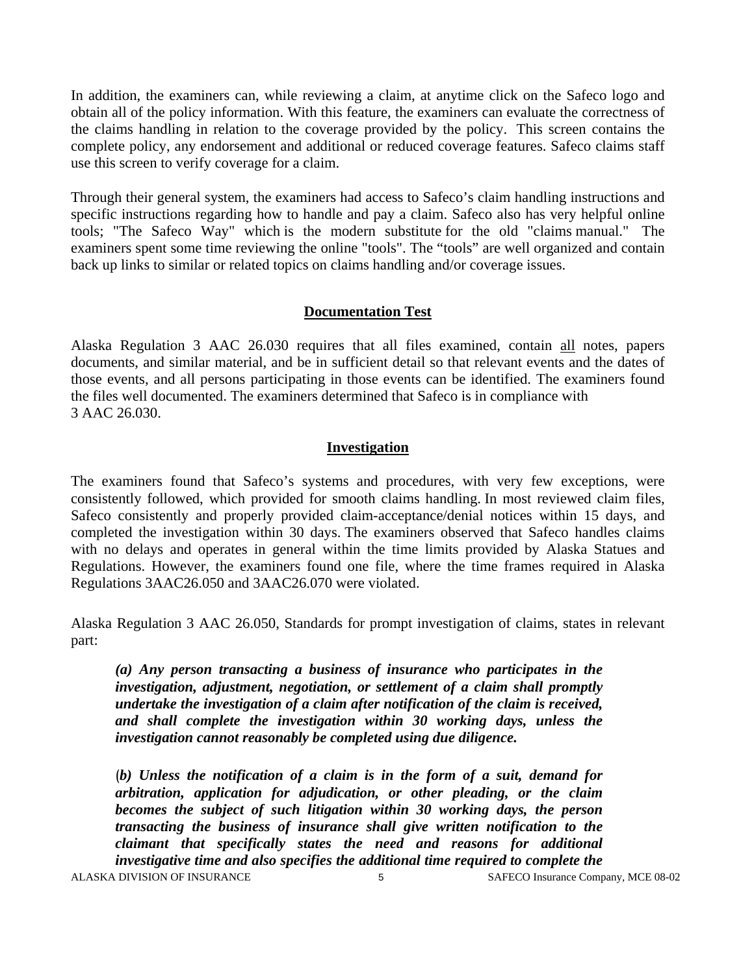In addition, the examiners can, while reviewing a claim, at anytime click on the Safeco logo and obtain all of the policy information. With this feature, the examiners can evaluate the correctness of the claims handling in relation to the coverage provided by the policy. This screen contains the complete policy, any endorsement and additional or reduced coverage features. Safeco claims staff use this screen to verify coverage for a claim.

Through their general system, the examiners had access to Safeco's claim handling instructions and specific instructions regarding how to handle and pay a claim. Safeco also has very helpful online tools; "The Safeco Way" which is the modern substitute for the old "claims manual." The examiners spent some time reviewing the online "tools". The "tools" are well organized and contain back up links to similar or related topics on claims handling and/or coverage issues.

#### **Documentation Test**

Alaska Regulation 3 AAC 26.030 requires that all files examined, contain all notes, papers documents, and similar material, and be in sufficient detail so that relevant events and the dates of those events, and all persons participating in those events can be identified. The examiners found the files well documented. The examiners determined that Safeco is in compliance with 3 AAC 26.030.

#### **Investigation**

The examiners found that Safeco's systems and procedures, with very few exceptions, were consistently followed, which provided for smooth claims handling. In most reviewed claim files, Safeco consistently and properly provided claim-acceptance/denial notices within 15 days, and completed the investigation within 30 days. The examiners observed that Safeco handles claims with no delays and operates in general within the time limits provided by Alaska Statues and Regulations. However, the examiners found one file, where the time frames required in Alaska Regulations 3AAC26.050 and 3AAC26.070 were violated.

Alaska Regulation 3 AAC 26.050, Standards for prompt investigation of claims, states in relevant part:

*(a) Any person transacting a business of insurance who participates in the investigation, adjustment, negotiation, or settlement of a claim shall promptly undertake the investigation of a claim after notification of the claim is received, and shall complete the investigation within 30 working days, unless the investigation cannot reasonably be completed using due diligence.* 

(*b) Unless the notification of a claim is in the form of a suit, demand for arbitration, application for adjudication, or other pleading, or the claim becomes the subject of such litigation within 30 working days, the person transacting the business of insurance shall give written notification to the claimant that specifically states the need and reasons for additional investigative time and also specifies the additional time required to complete the* 

ALASKA DIVISION OF INSURANCE 5 5 SAFECO Insurance Company, MCE 08-02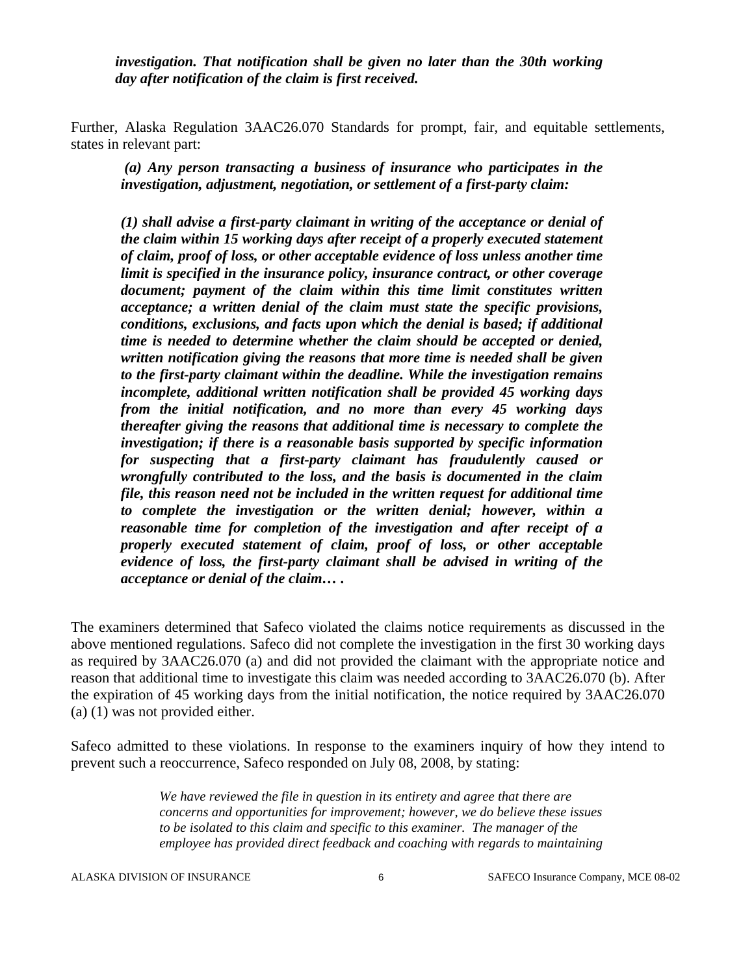*investigation. That notification shall be given no later than the 30th working day after notification of the claim is first received.* 

Further, Alaska Regulation 3AAC26.070 Standards for prompt, fair, and equitable settlements, states in relevant part:

*(a) Any person transacting a business of insurance who participates in the investigation, adjustment, negotiation, or settlement of a first-party claim:* 

*(1) shall advise a first-party claimant in writing of the acceptance or denial of the claim within 15 working days after receipt of a properly executed statement of claim, proof of loss, or other acceptable evidence of loss unless another time limit is specified in the insurance policy, insurance contract, or other coverage document; payment of the claim within this time limit constitutes written acceptance; a written denial of the claim must state the specific provisions, conditions, exclusions, and facts upon which the denial is based; if additional time is needed to determine whether the claim should be accepted or denied, written notification giving the reasons that more time is needed shall be given to the first-party claimant within the deadline. While the investigation remains incomplete, additional written notification shall be provided 45 working days from the initial notification, and no more than every 45 working days thereafter giving the reasons that additional time is necessary to complete the investigation; if there is a reasonable basis supported by specific information for suspecting that a first-party claimant has fraudulently caused or wrongfully contributed to the loss, and the basis is documented in the claim file, this reason need not be included in the written request for additional time to complete the investigation or the written denial; however, within a reasonable time for completion of the investigation and after receipt of a properly executed statement of claim, proof of loss, or other acceptable evidence of loss, the first-party claimant shall be advised in writing of the acceptance or denial of the claim… .* 

The examiners determined that Safeco violated the claims notice requirements as discussed in the above mentioned regulations. Safeco did not complete the investigation in the first 30 working days as required by 3AAC26.070 (a) and did not provided the claimant with the appropriate notice and reason that additional time to investigate this claim was needed according to 3AAC26.070 (b). After the expiration of 45 working days from the initial notification, the notice required by 3AAC26.070 (a) (1) was not provided either.

Safeco admitted to these violations. In response to the examiners inquiry of how they intend to prevent such a reoccurrence, Safeco responded on July 08, 2008, by stating:

> *We have reviewed the file in question in its entirety and agree that there are concerns and opportunities for improvement; however, we do believe these issues to be isolated to this claim and specific to this examiner. The manager of the employee has provided direct feedback and coaching with regards to maintaining*

ALASKA DIVISION OF INSURANCE 6 6 SAFECO Insurance Company, MCE 08-02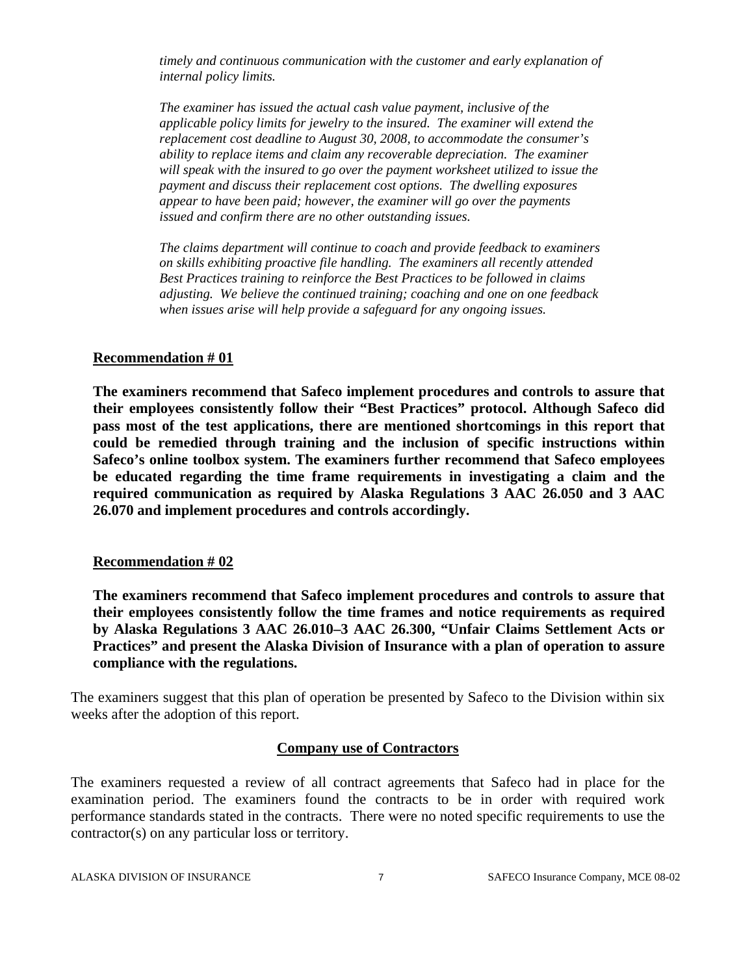*timely and continuous communication with the customer and early explanation of internal policy limits.* 

*The examiner has issued the actual cash value payment, inclusive of the applicable policy limits for jewelry to the insured. The examiner will extend the replacement cost deadline to August 30, 2008, to accommodate the consumer's ability to replace items and claim any recoverable depreciation. The examiner will speak with the insured to go over the payment worksheet utilized to issue the payment and discuss their replacement cost options. The dwelling exposures appear to have been paid; however, the examiner will go over the payments issued and confirm there are no other outstanding issues.* 

*The claims department will continue to coach and provide feedback to examiners on skills exhibiting proactive file handling. The examiners all recently attended Best Practices training to reinforce the Best Practices to be followed in claims adjusting. We believe the continued training; coaching and one on one feedback when issues arise will help provide a safeguard for any ongoing issues.* 

#### **Recommendation # 01**

**The examiners recommend that Safeco implement procedures and controls to assure that their employees consistently follow their "Best Practices" protocol. Although Safeco did pass most of the test applications, there are mentioned shortcomings in this report that could be remedied through training and the inclusion of specific instructions within Safeco's online toolbox system. The examiners further recommend that Safeco employees be educated regarding the time frame requirements in investigating a claim and the required communication as required by Alaska Regulations 3 AAC 26.050 and 3 AAC 26.070 and implement procedures and controls accordingly.** 

#### **Recommendation # 02**

**The examiners recommend that Safeco implement procedures and controls to assure that their employees consistently follow the time frames and notice requirements as required by Alaska Regulations 3 AAC 26.010–3 AAC 26.300, "Unfair Claims Settlement Acts or Practices" and present the Alaska Division of Insurance with a plan of operation to assure compliance with the regulations.** 

The examiners suggest that this plan of operation be presented by Safeco to the Division within six weeks after the adoption of this report.

#### **Company use of Contractors**

The examiners requested a review of all contract agreements that Safeco had in place for the examination period. The examiners found the contracts to be in order with required work performance standards stated in the contracts. There were no noted specific requirements to use the contractor(s) on any particular loss or territory.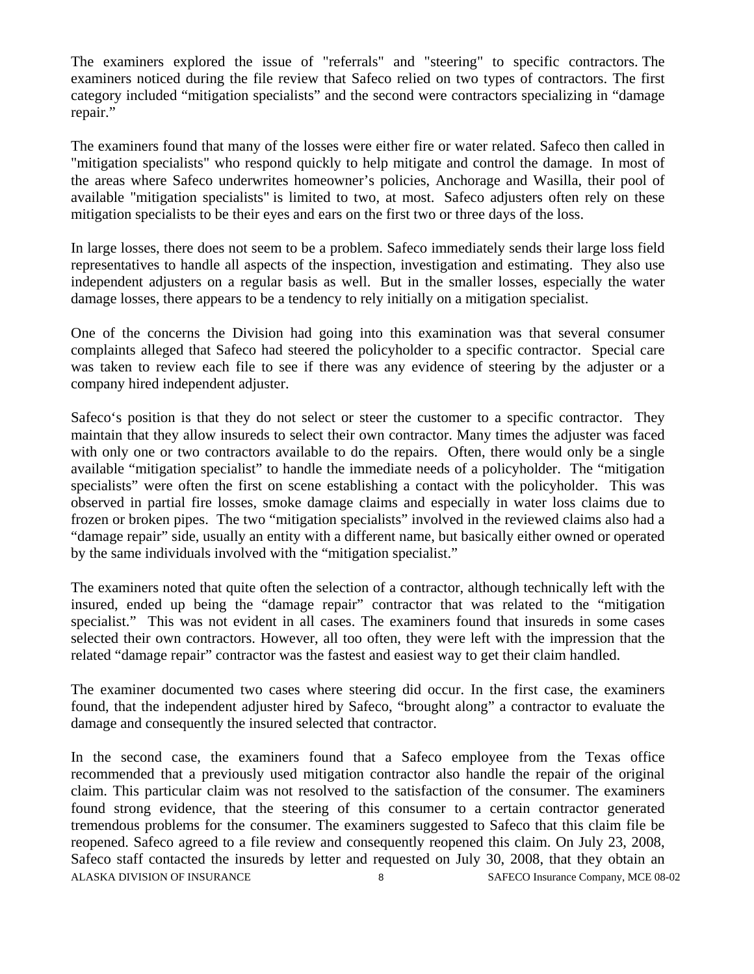The examiners explored the issue of "referrals" and "steering" to specific contractors. The examiners noticed during the file review that Safeco relied on two types of contractors. The first category included "mitigation specialists" and the second were contractors specializing in "damage repair."

The examiners found that many of the losses were either fire or water related. Safeco then called in "mitigation specialists" who respond quickly to help mitigate and control the damage. In most of the areas where Safeco underwrites homeowner's policies, Anchorage and Wasilla, their pool of available "mitigation specialists" is limited to two, at most. Safeco adjusters often rely on these mitigation specialists to be their eyes and ears on the first two or three days of the loss.

In large losses, there does not seem to be a problem. Safeco immediately sends their large loss field representatives to handle all aspects of the inspection, investigation and estimating. They also use independent adjusters on a regular basis as well. But in the smaller losses, especially the water damage losses, there appears to be a tendency to rely initially on a mitigation specialist.

One of the concerns the Division had going into this examination was that several consumer complaints alleged that Safeco had steered the policyholder to a specific contractor. Special care was taken to review each file to see if there was any evidence of steering by the adjuster or a company hired independent adjuster.

Safeco's position is that they do not select or steer the customer to a specific contractor. They maintain that they allow insureds to select their own contractor. Many times the adjuster was faced with only one or two contractors available to do the repairs. Often, there would only be a single available "mitigation specialist" to handle the immediate needs of a policyholder. The "mitigation specialists" were often the first on scene establishing a contact with the policyholder. This was observed in partial fire losses, smoke damage claims and especially in water loss claims due to frozen or broken pipes. The two "mitigation specialists" involved in the reviewed claims also had a "damage repair" side, usually an entity with a different name, but basically either owned or operated by the same individuals involved with the "mitigation specialist."

The examiners noted that quite often the selection of a contractor, although technically left with the insured, ended up being the "damage repair" contractor that was related to the "mitigation specialist." This was not evident in all cases. The examiners found that insureds in some cases selected their own contractors. However, all too often, they were left with the impression that the related "damage repair" contractor was the fastest and easiest way to get their claim handled.

The examiner documented two cases where steering did occur. In the first case, the examiners found, that the independent adjuster hired by Safeco, "brought along" a contractor to evaluate the damage and consequently the insured selected that contractor.

ALASKA DIVISION OF INSURANCE 8 8 SAFECO Insurance Company, MCE 08-02 In the second case, the examiners found that a Safeco employee from the Texas office recommended that a previously used mitigation contractor also handle the repair of the original claim. This particular claim was not resolved to the satisfaction of the consumer. The examiners found strong evidence, that the steering of this consumer to a certain contractor generated tremendous problems for the consumer. The examiners suggested to Safeco that this claim file be reopened. Safeco agreed to a file review and consequently reopened this claim. On July 23, 2008, Safeco staff contacted the insureds by letter and requested on July 30, 2008, that they obtain an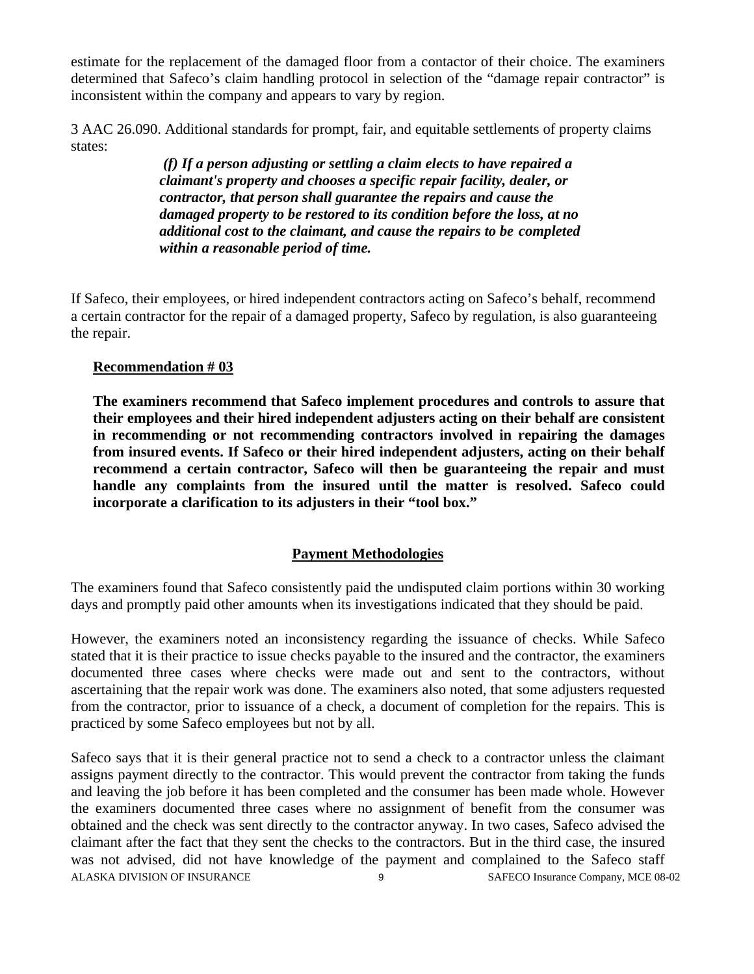estimate for the replacement of the damaged floor from a contactor of their choice. The examiners determined that Safeco's claim handling protocol in selection of the "damage repair contractor" is inconsistent within the company and appears to vary by region.

3 AAC 26.090. Additional standards for prompt, fair, and equitable settlements of property claims states:

> *(f) If a person adjusting or settling a claim elects to have repaired a claimant's property and chooses a specific repair facility, dealer, or contractor, that person shall guarantee the repairs and cause the damaged property to be restored to its condition before the loss, at no additional cost to the claimant, and cause the repairs to be completed within a reasonable period of time.*

If Safeco, their employees, or hired independent contractors acting on Safeco's behalf, recommend a certain contractor for the repair of a damaged property, Safeco by regulation, is also guaranteeing the repair.

#### **Recommendation # 03**

**The examiners recommend that Safeco implement procedures and controls to assure that their employees and their hired independent adjusters acting on their behalf are consistent in recommending or not recommending contractors involved in repairing the damages from insured events. If Safeco or their hired independent adjusters, acting on their behalf recommend a certain contractor, Safeco will then be guaranteeing the repair and must handle any complaints from the insured until the matter is resolved. Safeco could incorporate a clarification to its adjusters in their "tool box."** 

#### **Payment Methodologies**

The examiners found that Safeco consistently paid the undisputed claim portions within 30 working days and promptly paid other amounts when its investigations indicated that they should be paid.

However, the examiners noted an inconsistency regarding the issuance of checks. While Safeco stated that it is their practice to issue checks payable to the insured and the contractor, the examiners documented three cases where checks were made out and sent to the contractors, without ascertaining that the repair work was done. The examiners also noted, that some adjusters requested from the contractor, prior to issuance of a check, a document of completion for the repairs. This is practiced by some Safeco employees but not by all.

ALASKA DIVISION OF INSURANCE 9 9 SAFECO Insurance Company, MCE 08-02 Safeco says that it is their general practice not to send a check to a contractor unless the claimant assigns payment directly to the contractor. This would prevent the contractor from taking the funds and leaving the job before it has been completed and the consumer has been made whole. However the examiners documented three cases where no assignment of benefit from the consumer was obtained and the check was sent directly to the contractor anyway. In two cases, Safeco advised the claimant after the fact that they sent the checks to the contractors. But in the third case, the insured was not advised, did not have knowledge of the payment and complained to the Safeco staff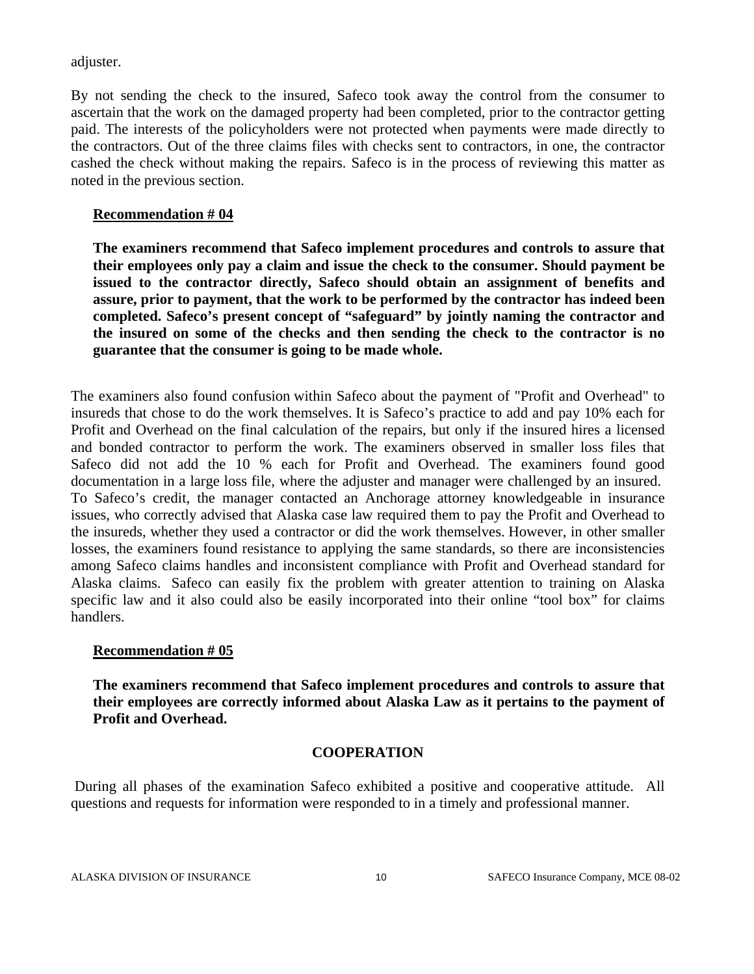adjuster.

By not sending the check to the insured, Safeco took away the control from the consumer to ascertain that the work on the damaged property had been completed, prior to the contractor getting paid. The interests of the policyholders were not protected when payments were made directly to the contractors. Out of the three claims files with checks sent to contractors, in one, the contractor cashed the check without making the repairs. Safeco is in the process of reviewing this matter as noted in the previous section.

#### **Recommendation # 04**

**The examiners recommend that Safeco implement procedures and controls to assure that their employees only pay a claim and issue the check to the consumer. Should payment be issued to the contractor directly, Safeco should obtain an assignment of benefits and assure, prior to payment, that the work to be performed by the contractor has indeed been completed. Safeco's present concept of "safeguard" by jointly naming the contractor and the insured on some of the checks and then sending the check to the contractor is no guarantee that the consumer is going to be made whole.** 

The examiners also found confusion within Safeco about the payment of "Profit and Overhead" to insureds that chose to do the work themselves. It is Safeco's practice to add and pay 10% each for Profit and Overhead on the final calculation of the repairs, but only if the insured hires a licensed and bonded contractor to perform the work. The examiners observed in smaller loss files that Safeco did not add the 10 % each for Profit and Overhead. The examiners found good documentation in a large loss file, where the adjuster and manager were challenged by an insured. To Safeco's credit, the manager contacted an Anchorage attorney knowledgeable in insurance issues, who correctly advised that Alaska case law required them to pay the Profit and Overhead to the insureds, whether they used a contractor or did the work themselves. However, in other smaller losses, the examiners found resistance to applying the same standards, so there are inconsistencies among Safeco claims handles and inconsistent compliance with Profit and Overhead standard for Alaska claims. Safeco can easily fix the problem with greater attention to training on Alaska specific law and it also could also be easily incorporated into their online "tool box" for claims handlers.

#### **Recommendation # 05**

**The examiners recommend that Safeco implement procedures and controls to assure that their employees are correctly informed about Alaska Law as it pertains to the payment of Profit and Overhead.** 

#### **COOPERATION**

 During all phases of the examination Safeco exhibited a positive and cooperative attitude. All questions and requests for information were responded to in a timely and professional manner.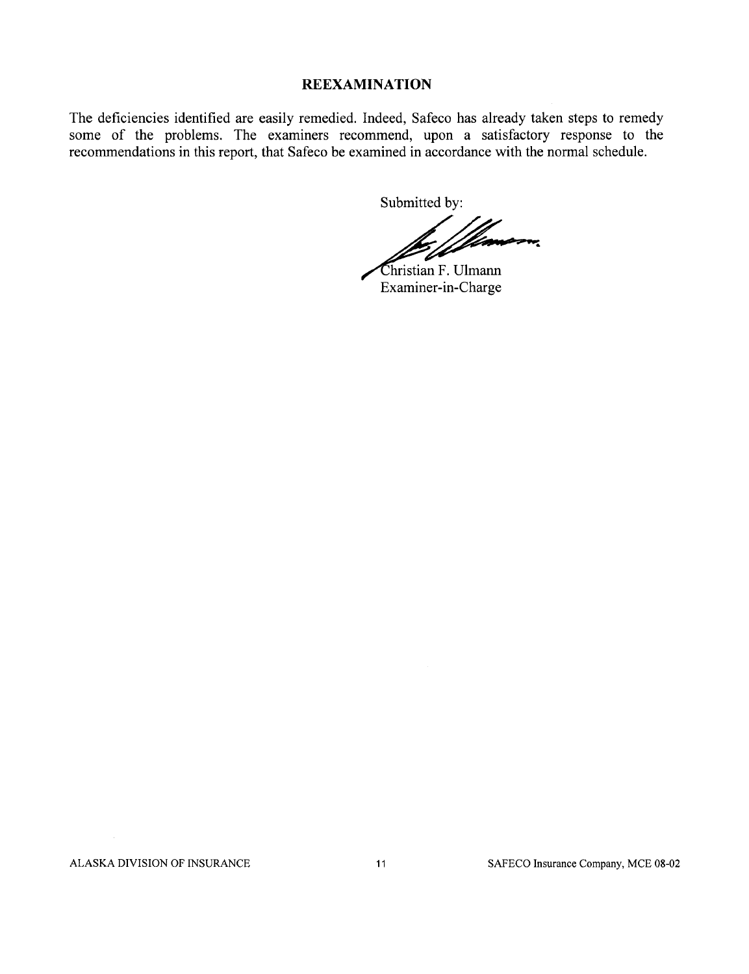#### **REEXAMINATION**

The deficiencies identified are easily remedied. Indeed, Safeco has already taken steps to remedy some of the problems. The examiners recommend, upon a satisfactory response to the recommendations in this report, that Safeco be examined in accordance with the normal schedule.

Submitted by:

Hanson,

Christian F. Ulmann Examiner-in-Charge